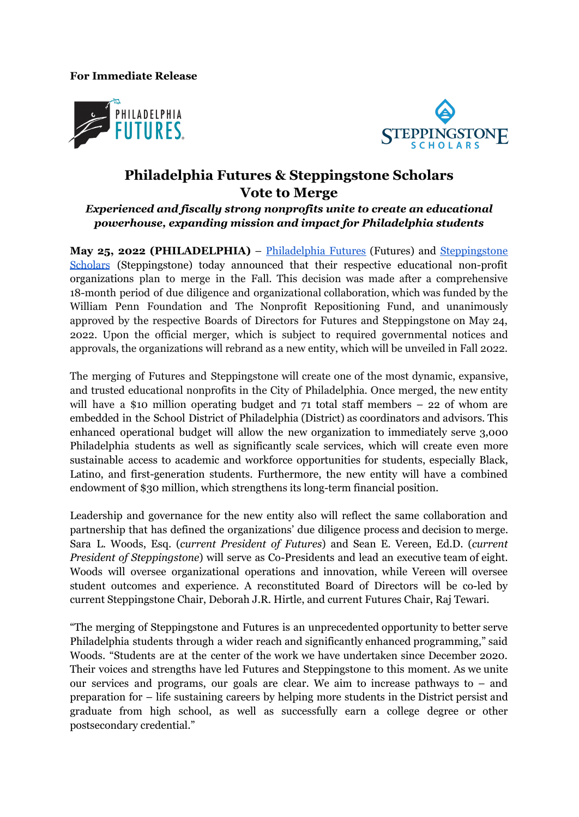**For Immediate Release**





## **Philadelphia Futures & Steppingstone Scholars Vote to Merge**

*Experienced and fiscally strong nonprofits unite to create an educational powerhouse, expanding mission and impact for Philadelphia students*

**May 25, 2022 (PHILADELPHIA)** – [Philadelphia](https://philadelphiafutures.org) Futures (Futures) and [Steppingstone](https://www.steppingstonescholars.org/about/) [Scholars](https://www.steppingstonescholars.org/about/) (Steppingstone) today announced that their respective educational non-profit organizations plan to merge in the Fall. This decision was made after a comprehensive 18-month period of due diligence and organizational collaboration, which was funded by the William Penn Foundation and The Nonprofit Repositioning Fund, and unanimously approved by the respective Boards of Directors for Futures and Steppingstone on May 24, 2022. Upon the official merger, which is subject to required governmental notices and approvals, the organizations will rebrand as a new entity, which will be unveiled in Fall 2022.

The merging of Futures and Steppingstone will create one of the most dynamic, expansive, and trusted educational nonprofits in the City of Philadelphia. Once merged, the new entity will have a \$10 million operating budget and 71 total staff members – 22 of whom are embedded in the School District of Philadelphia (District) as coordinators and advisors. This enhanced operational budget will allow the new organization to immediately serve 3,000 Philadelphia students as well as significantly scale services, which will create even more sustainable access to academic and workforce opportunities for students, especially Black, Latino, and first-generation students. Furthermore, the new entity will have a combined endowment of \$30 million, which strengthens its long-term financial position.

Leadership and governance for the new entity also will reflect the same collaboration and partnership that has defined the organizations' due diligence process and decision to merge. Sara L. Woods, Esq. (*current President of Futures*) and Sean E. Vereen, Ed.D. (*current President of Steppingstone*) will serve as Co-Presidents and lead an executive team of eight. Woods will oversee organizational operations and innovation, while Vereen will oversee student outcomes and experience. A reconstituted Board of Directors will be co-led by current Steppingstone Chair, Deborah J.R. Hirtle, and current Futures Chair, Raj Tewari.

"The merging of Steppingstone and Futures is an unprecedented opportunity to better serve Philadelphia students through a wider reach and significantly enhanced programming," said Woods. "Students are at the center of the work we have undertaken since December 2020. Their voices and strengths have led Futures and Steppingstone to this moment. As we unite our services and programs, our goals are clear. We aim to increase pathways to – and preparation for – life sustaining careers by helping more students in the District persist and graduate from high school, as well as successfully earn a college degree or other postsecondary credential."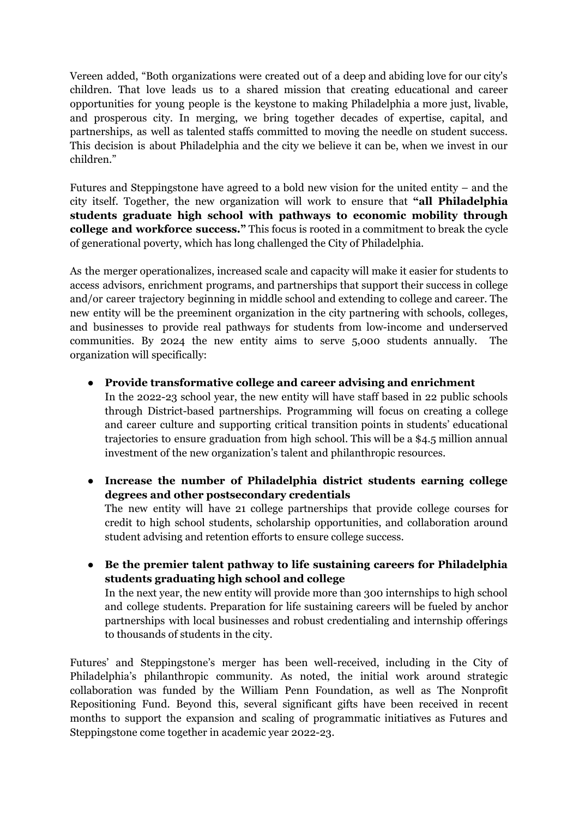Vereen added, "Both organizations were created out of a deep and abiding love for our city's children. That love leads us to a shared mission that creating educational and career opportunities for young people is the keystone to making Philadelphia a more just, livable, and prosperous city. In merging, we bring together decades of expertise, capital, and partnerships, as well as talented staffs committed to moving the needle on student success. This decision is about Philadelphia and the city we believe it can be, when we invest in our children."

Futures and Steppingstone have agreed to a bold new vision for the united entity – and the city itself. Together, the new organization will work to ensure that **"all Philadelphia students graduate high school with pathways to economic mobility through college and workforce success."** This focus is rooted in a commitment to break the cycle of generational poverty, which has long challenged the City of Philadelphia.

As the merger operationalizes, increased scale and capacity will make it easier for students to access advisors, enrichment programs, and partnerships that support their success in college and/or career trajectory beginning in middle school and extending to college and career. The new entity will be the preeminent organization in the city partnering with schools, colleges, and businesses to provide real pathways for students from low-income and underserved communities. By 2024 the new entity aims to serve 5,000 students annually. The organization will specifically:

**● Provide transformative college and career advising and enrichment** In the 2022-23 school year, the new entity will have staff based in 22 public schools through District-based partnerships. Programming will focus on creating a college and career culture and supporting critical transition points in students' educational trajectories to ensure graduation from high school. This will be a \$4.5 million annual

investment of the new organization's talent and philanthropic resources.

- **● Increase the number of Philadelphia district students earning college degrees and other postsecondary credentials** The new entity will have 21 college partnerships that provide college courses for credit to high school students, scholarship opportunities, and collaboration around student advising and retention efforts to ensure college success.
- **● Be the premier talent pathway to life sustaining careers for Philadelphia students graduating high school and college** In the next year, the new entity will provide more than 300 internships to high school and college students. Preparation for life sustaining careers will be fueled by anchor partnerships with local businesses and robust credentialing and internship offerings to thousands of students in the city.

Futures' and Steppingstone's merger has been well-received, including in the City of Philadelphia's philanthropic community. As noted, the initial work around strategic collaboration was funded by the William Penn Foundation, as well as The Nonprofit Repositioning Fund. Beyond this, several significant gifts have been received in recent months to support the expansion and scaling of programmatic initiatives as Futures and Steppingstone come together in academic year 2022-23.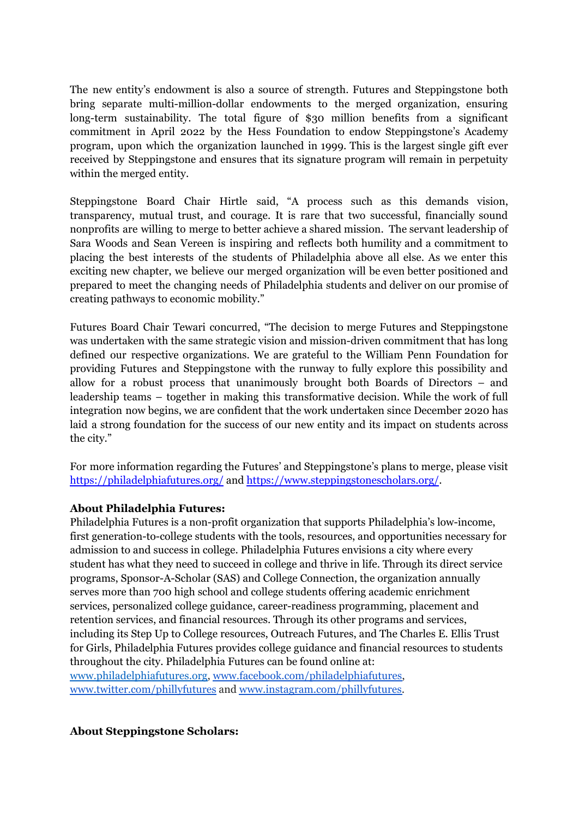The new entity's endowment is also a source of strength. Futures and Steppingstone both bring separate multi-million-dollar endowments to the merged organization, ensuring long-term sustainability. The total figure of \$30 million benefits from a significant commitment in April 2022 by the Hess Foundation to endow Steppingstone's Academy program, upon which the organization launched in 1999. This is the largest single gift ever received by Steppingstone and ensures that its signature program will remain in perpetuity within the merged entity.

Steppingstone Board Chair Hirtle said, "A process such as this demands vision, transparency, mutual trust, and courage. It is rare that two successful, financially sound nonprofits are willing to merge to better achieve a shared mission. The servant leadership of Sara Woods and Sean Vereen is inspiring and reflects both humility and a commitment to placing the best interests of the students of Philadelphia above all else. As we enter this exciting new chapter, we believe our merged organization will be even better positioned and prepared to meet the changing needs of Philadelphia students and deliver on our promise of creating pathways to economic mobility."

Futures Board Chair Tewari concurred, "The decision to merge Futures and Steppingstone was undertaken with the same strategic vision and mission-driven commitment that has long defined our respective organizations. We are grateful to the William Penn Foundation for providing Futures and Steppingstone with the runway to fully explore this possibility and allow for a robust process that unanimously brought both Boards of Directors – and leadership teams – together in making this transformative decision. While the work of full integration now begins, we are confident that the work undertaken since December 2020 has laid a strong foundation for the success of our new entity and its impact on students across the city."

For more information regarding the Futures' and Steppingstone's plans to merge, please visit <https://philadelphiafutures.org/> and <https://www.steppingstonescholars.org/>.

## **About Philadelphia Futures:**

Philadelphia Futures is a non-profit organization that supports Philadelphia's low-income, first generation-to-college students with the tools, resources, and opportunities necessary for admission to and success in college. Philadelphia Futures envisions a city where every student has what they need to succeed in college and thrive in life. Through its direct service programs, Sponsor-A-Scholar (SAS) and College Connection, the organization annually serves more than 700 high school and college students offering academic enrichment services, personalized college guidance, career-readiness programming, placement and retention services, and financial resources. Through its other programs and services, including its Step Up to College resources, Outreach Futures, and The Charles E. Ellis Trust for Girls, Philadelphia Futures provides college guidance and financial resources to students throughout the city. Philadelphia Futures can be found online at[:](http://www.philadelphiafutures.org/) [www.philadelphiafutures.org,](http://www.philadelphiafutures.org/) [www.facebook.com/philadelphiafutures,](http://www.facebook.com/philadelphiafutures) [www.twitter.com/phillyfutures](http://www.twitter.com/phillyfutures) and [www.instagram.com/phillyfutures.](http://www.instagram.com/phillyfutures)

## **About Steppingstone Scholars:**